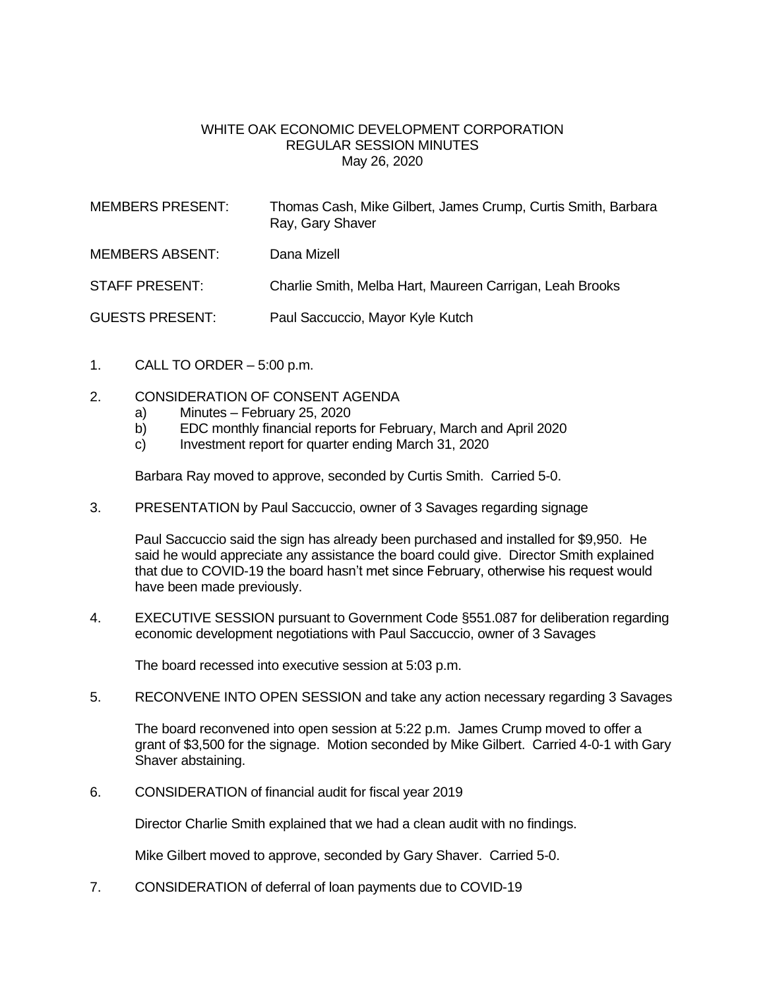## WHITE OAK ECONOMIC DEVELOPMENT CORPORATION REGULAR SESSION MINUTES May 26, 2020

| <b>MEMBERS PRESENT:</b> | Thomas Cash, Mike Gilbert, James Crump, Curtis Smith, Barbara<br>Ray, Gary Shaver |
|-------------------------|-----------------------------------------------------------------------------------|
| <b>MEMBERS ABSENT:</b>  | Dana Mizell                                                                       |
| <b>STAFF PRESENT:</b>   | Charlie Smith, Melba Hart, Maureen Carrigan, Leah Brooks                          |
| <b>GUESTS PRESENT:</b>  | Paul Saccuccio, Mayor Kyle Kutch                                                  |

- 1. CALL TO ORDER  $-5:00$  p.m.
- 2. CONSIDERATION OF CONSENT AGENDA
	- a) Minutes February 25, 2020
	- b) EDC monthly financial reports for February, March and April 2020
	- c) Investment report for quarter ending March 31, 2020

Barbara Ray moved to approve, seconded by Curtis Smith. Carried 5-0.

3. PRESENTATION by Paul Saccuccio, owner of 3 Savages regarding signage

Paul Saccuccio said the sign has already been purchased and installed for \$9,950. He said he would appreciate any assistance the board could give. Director Smith explained that due to COVID-19 the board hasn't met since February, otherwise his request would have been made previously.

4. EXECUTIVE SESSION pursuant to Government Code §551.087 for deliberation regarding economic development negotiations with Paul Saccuccio, owner of 3 Savages

The board recessed into executive session at 5:03 p.m.

5. RECONVENE INTO OPEN SESSION and take any action necessary regarding 3 Savages

The board reconvened into open session at 5:22 p.m. James Crump moved to offer a grant of \$3,500 for the signage. Motion seconded by Mike Gilbert. Carried 4-0-1 with Gary Shaver abstaining.

6. CONSIDERATION of financial audit for fiscal year 2019

Director Charlie Smith explained that we had a clean audit with no findings.

Mike Gilbert moved to approve, seconded by Gary Shaver. Carried 5-0.

7. CONSIDERATION of deferral of loan payments due to COVID-19